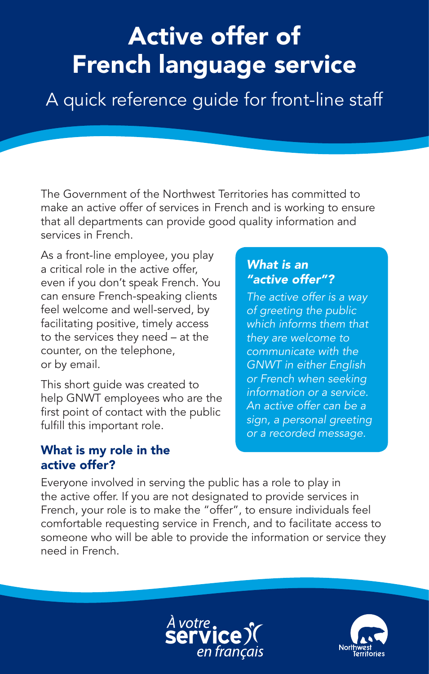# Active offer of French language service

A quick reference guide for front-line staff

The Government of the Northwest Territories has committed to make an active offer of services in French and is working to ensure that all departments can provide good quality information and services in French.

As a front-line employee, you play a critical role in the active offer, even if you don't speak French. You can ensure French-speaking clients feel welcome and well-served, by facilitating positive, timely access to the services they need – at the counter, on the telephone, or by email.

This short guide was created to help GNWT employees who are the first point of contact with the public fulfill this important role.

#### What is my role in the active offer?

#### *What is an "active offer"?*

*The active offer is a way of greeting the public which informs them that they are welcome to communicate with the GNWT in either English or French when seeking information or a service. An active offer can be a sign, a personal greeting or a recorded message.* 

Everyone involved in serving the public has a role to play in the active offer. If you are not designated to provide services in French, your role is to make the "offer", to ensure individuals feel comfortable requesting service in French, and to facilitate access to someone who will be able to provide the information or service they need in French.



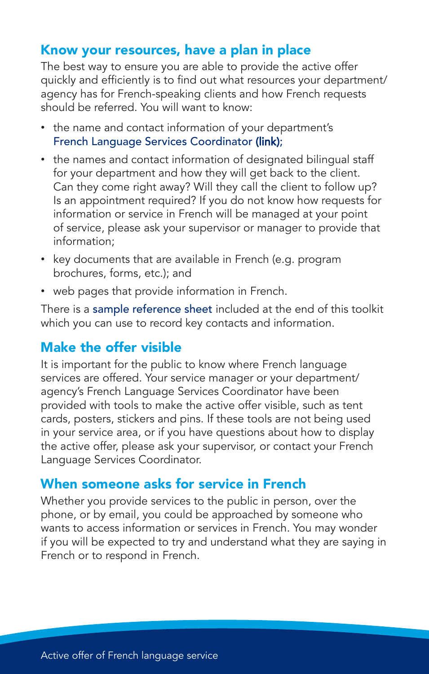#### Know your resources, have a plan in place

The best way to ensure you are able to provide the active offer quickly and efficiently is to find out what resources your department/ agency has for French-speaking clients and how French requests should be referred. You will want to know:

- the name and contact information of your department's [French Language Services Coordinator](http://www.ece.gov.nt.ca/files/pages/608/biflsclistingjune2015.pdf) (link);
- the names and contact information of designated bilingual staff for your department and how they will get back to the client. Can they come right away? Will they call the client to follow up? Is an appointment required? If you do not know how requests for information or service in French will be managed at your point of service, please ask your supervisor or manager to provide that information;
- key documents that are available in French (e.g. program brochures, forms, etc.); and
- web pages that provide information in French.

There is a sample reference sheet included at the end of this toolkit which you can use to record key contacts and information.

#### Make the offer visible

It is important for the public to know where French language services are offered. Your service manager or your department/ agency's French Language Services Coordinator have been provided with tools to make the active offer visible, such as tent cards, posters, stickers and pins. If these tools are not being used in your service area, or if you have questions about how to display the active offer, please ask your supervisor, or contact your French Language Services Coordinator.

#### When someone asks for service in French

Whether you provide services to the public in person, over the phone, or by email, you could be approached by someone who wants to access information or services in French. You may wonder if you will be expected to try and understand what they are saying in French or to respond in French.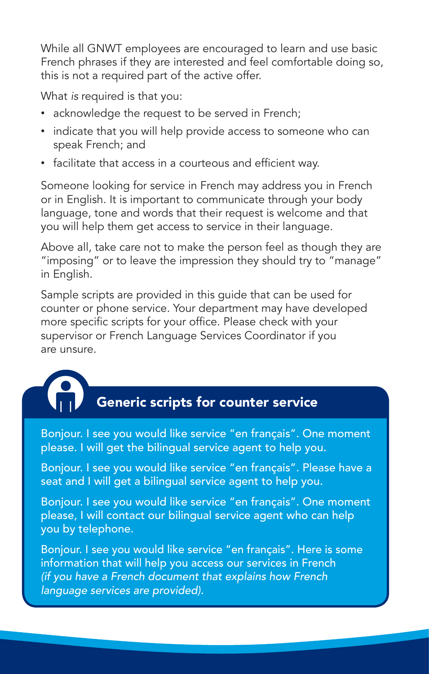While all GNWT employees are encouraged to learn and use basic French phrases if they are interested and feel comfortable doing so, this is not a required part of the active offer.

What *is* required is that you:

- acknowledge the request to be served in French;
- indicate that you will help provide access to someone who can speak French; and
- facilitate that access in a courteous and efficient way.

Someone looking for service in French may address you in French or in English. It is important to communicate through your body language, tone and words that their request is welcome and that you will help them get access to service in their language.

Above all, take care not to make the person feel as though they are "imposing" or to leave the impression they should try to "manage" in English.

Sample scripts are provided in this guide that can be used for counter or phone service. Your department may have developed more specific scripts for your office. Please check with your supervisor or French Language Services Coordinator if you are unsure.



# Generic scripts for counter service

Bonjour. I see you would like service "en français". One moment please. I will get the bilingual service agent to help you.

Bonjour. I see you would like service "en français". Please have a seat and I will get a bilingual service agent to help you.

Bonjour. I see you would like service "en français". One moment please, I will contact our bilingual service agent who can help you by telephone.

Bonjour. I see you would like service "en français". Here is some information that will help you access our services in French *(if you have a French document that explains how French language services are provided).*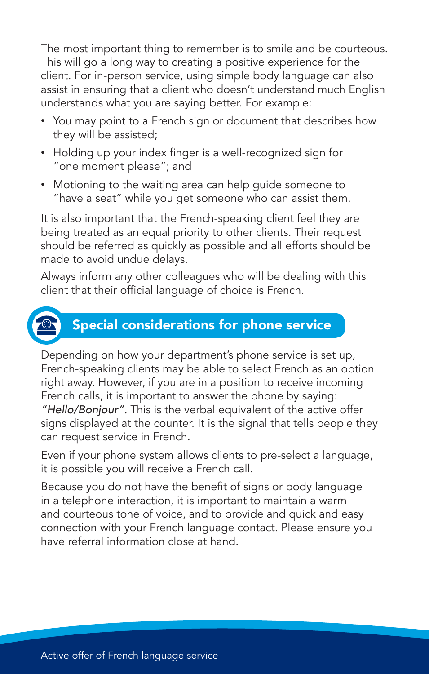The most important thing to remember is to smile and be courteous. This will go a long way to creating a positive experience for the client. For in-person service, using simple body language can also assist in ensuring that a client who doesn't understand much English understands what you are saying better. For example:

- You may point to a French sign or document that describes how they will be assisted;
- Holding up your index finger is a well-recognized sign for "one moment please"; and
- Motioning to the waiting area can help guide someone to "have a seat" while you get someone who can assist them.

It is also important that the French-speaking client feel they are being treated as an equal priority to other clients. Their request should be referred as quickly as possible and all efforts should be made to avoid undue delays.

Always inform any other colleagues who will be dealing with this client that their official language of choice is French.



#### Special considerations for phone service

Depending on how your department's phone service is set up, French-speaking clients may be able to select French as an option right away. However, if you are in a position to receive incoming French calls, it is important to answer the phone by saying: *"Hello/Bonjour".* This is the verbal equivalent of the active offer signs displayed at the counter. It is the signal that tells people they can request service in French.

Even if your phone system allows clients to pre-select a language, it is possible you will receive a French call.

Because you do not have the benefit of signs or body language in a telephone interaction, it is important to maintain a warm and courteous tone of voice, and to provide and quick and easy connection with your French language contact. Please ensure you have referral information close at hand.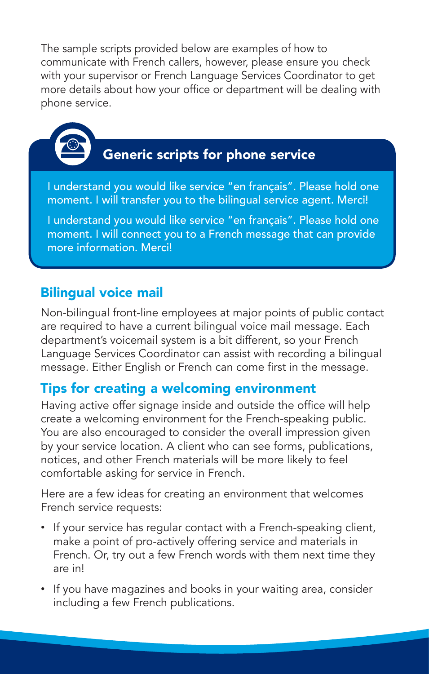The sample scripts provided below are examples of how to communicate with French callers, however, please ensure you check with your supervisor or French Language Services Coordinator to get more details about how your office or department will be dealing with phone service.



# Generic scripts for phone service

I understand you would like service "en français". Please hold one moment. I will transfer you to the bilingual service agent. Merci!

I understand you would like service "en français". Please hold one moment. I will connect you to a French message that can provide more information. Merci!

#### Bilingual voice mail

Non-bilingual front-line employees at major points of public contact are required to have a current bilingual voice mail message. Each department's voicemail system is a bit different, so your French Language Services Coordinator can assist with recording a bilingual message. Either English or French can come first in the message.

#### Tips for creating a welcoming environment

Having active offer signage inside and outside the office will help create a welcoming environment for the French-speaking public. You are also encouraged to consider the overall impression given by your service location. A client who can see forms, publications, notices, and other French materials will be more likely to feel comfortable asking for service in French.

Here are a few ideas for creating an environment that welcomes French service requests:

- If your service has regular contact with a French-speaking client, make a point of pro-actively offering service and materials in French. Or, try out a few French words with them next time they are in!
- If you have magazines and books in your waiting area, consider including a few French publications.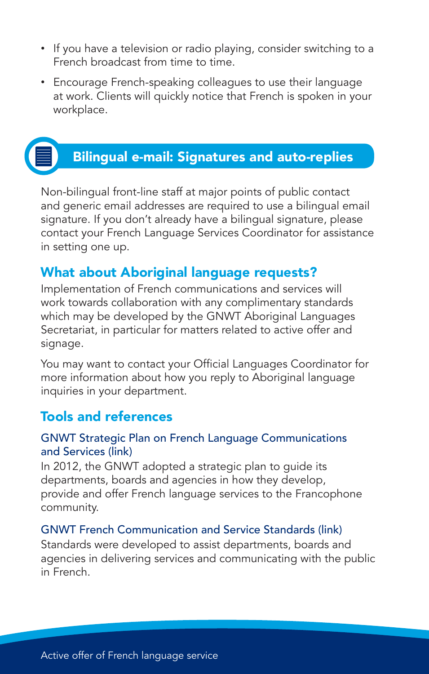- If you have a television or radio playing, consider switching to a French broadcast from time to time.
- Encourage French-speaking colleagues to use their language at work. Clients will quickly notice that French is spoken in your workplace.



### Bilingual e-mail: Signatures and auto-replies

Non-bilingual front-line staff at major points of public contact and generic email addresses are required to use a bilingual email signature. If you don't already have a bilingual signature, please contact your French Language Services Coordinator for assistance in setting one up.

#### What about Aboriginal language requests?

Implementation of French communications and services will work towards collaboration with any complimentary standards which may be developed by the GNWT Aboriginal Languages Secretariat, in particular for matters related to active offer and signage.

You may want to contact your Official Languages Coordinator for more information about how you reply to Aboriginal language inquiries in your department.

#### Tools and references

#### [GNWT Strategic Plan on French Language Communications](http://www.ece.gov.nt.ca/files/publications/4668_ECE_French_Language_Strat_Plan_P8_1.pdf)  and Services (link)

In 2012, the GNWT adopted a strategic plan to guide its departments, boards and agencies in how they develop, provide and offer French language services to the Francophone community.

#### [GNWT French Communication and Service Standards](http://www.ece.gov.nt.ca/files/pages/608/01gnwtstandardsforflcsfinalenglishversion.pdf) (link)

Standards were developed to assist departments, boards and agencies in delivering services and communicating with the public in French.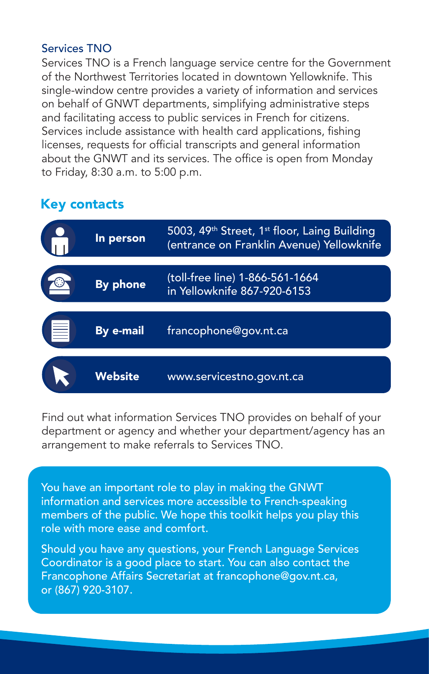#### Services TNO

Services TNO is a French language service centre for the Government of the Northwest Territories located in downtown Yellowknife. This single-window centre provides a variety of information and services on behalf of GNWT departments, simplifying administrative steps and facilitating access to public services in French for citizens. Services include assistance with health card applications, fishing licenses, requests for official transcripts and general information about the GNWT and its services. The office is open from Monday to Friday, 8:30 a.m. to 5:00 p.m.

#### Key contacts

| G  | In person       | 5003, 49 <sup>th</sup> Street, 1 <sup>st</sup> floor, Laing Building<br>(entrance on Franklin Avenue) Yellowknife |
|----|-----------------|-------------------------------------------------------------------------------------------------------------------|
|    | <b>By phone</b> | (toll-free line) 1-866-561-1664<br>in Yellowknife 867-920-6153                                                    |
| (冒 | By e-mail       | francophone@gov.nt.ca                                                                                             |
|    | Website         | www.servicestno.gov.nt.ca                                                                                         |

Find out what information Services TNO provides on behalf of your department or agency and whether your department/agency has an arrangement to make referrals to Services TNO.

You have an important role to play in making the GNWT information and services more accessible to French-speaking members of the public. We hope this toolkit helps you play this role with more ease and comfort.

Should you have any questions, your French Language Services Coordinator is a good place to start. You can also contact the Francophone Affairs Secretariat at francophone@gov.nt.ca, or (867) 920-3107.